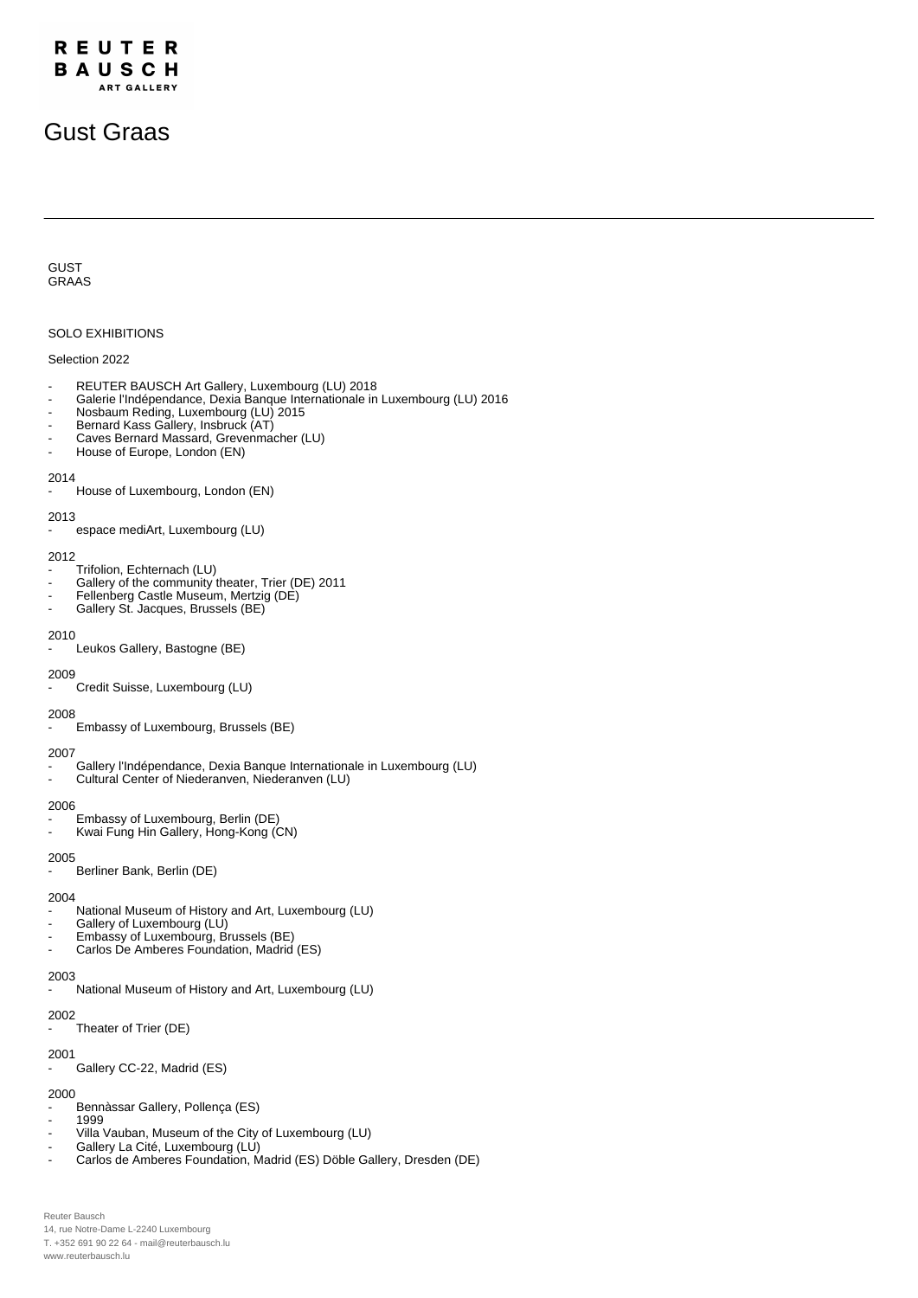# Gust Graas

## GUST GRAAS

## SOLO EXHIBITIONS

## Selection 2022

- REUTER BAUSCH Art Gallery, Luxembourg (LU) 2018
- Galerie l'Indépendance, Dexia Banque Internationale in Luxembourg (LU) 2016
- Nosbaum Reding, Luxembourg (LU) 2015
- Bernard Kass Gallery, Insbruck (AT)
- Caves Bernard Massard, Grevenmacher (LU)
- House of Europe, London (EN)

#### 2014

House of Luxembourg, London (EN)

## 2013

espace mediArt, Luxembourg (LU)

#### 2012

- Trifolion, Echternach (LU)
- Gallery of the community theater, Trier (DE) 2011
- Fellenberg Castle Museum, Mertzig (DE)
- Gallery St. Jacques, Brussels (BE)

## 2010

Leukos Gallery, Bastogne (BE)

#### 2009

Credit Suisse, Luxembourg (LU)

## 2008

Embassy of Luxembourg, Brussels (BE)

- 2007
- Gallery l'Indépendance, Dexia Banque Internationale in Luxembourg (LU) - Cultural Center of Niederanven, Niederanven (LU)

## 2006

- Embassy of Luxembourg, Berlin (DE)
- Kwai Fung Hin Gallery, Hong-Kong (CN)

## 2005

Berliner Bank, Berlin (DE)

## 2004

- National Museum of History and Art, Luxembourg (LU)
- Gallery of Luxembourg (LU)
- Embassy of Luxembourg, Brussels (BE)
- Carlos De Amberes Foundation, Madrid (ES)

## 2003

National Museum of History and Art, Luxembourg (LU)

## 2002

Theater of Trier (DE)

## 2001

Gallery CC-22, Madrid (ES)

## 2000

- Bennàssar Gallery, Pollença (ES)
- 1999
- Villa Vauban, Museum of the City of Luxembourg (LU) Gallery La Cité, Luxembourg (LÚ)
- Carlos de Amberes Foundation, Madrid (ES) Döble Gallery, Dresden (DE)

Reuter Bausch 14, rue Notre-Dame L-2240 Luxembourg T. +352 691 90 22 64 - mail@reuterbausch.lu www.reuterbausch.lu